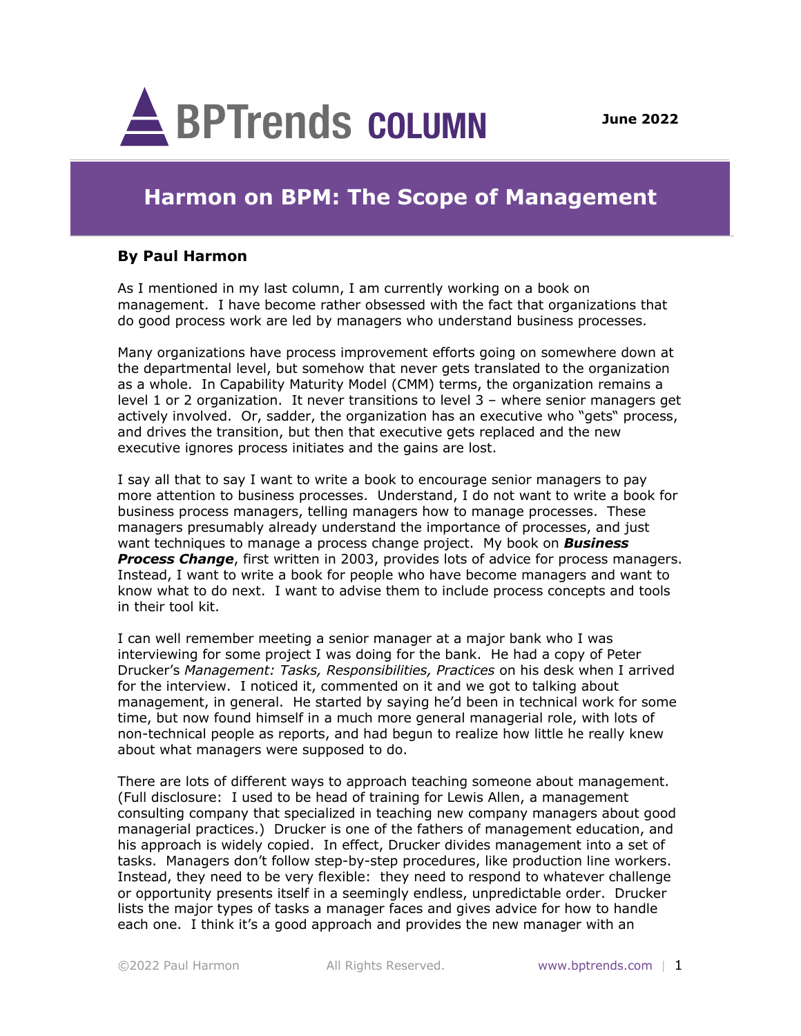

## **Harmon on BPM: The Scope of Management**

## **By Paul Harmon**

As I mentioned in my last column, I am currently working on a book on management. I have become rather obsessed with the fact that organizations that do good process work are led by managers who understand business processes.

Many organizations have process improvement efforts going on somewhere down at the departmental level, but somehow that never gets translated to the organization as a whole. In Capability Maturity Model (CMM) terms, the organization remains a level 1 or 2 organization. It never transitions to level 3 – where senior managers get actively involved. Or, sadder, the organization has an executive who "gets" process, and drives the transition, but then that executive gets replaced and the new executive ignores process initiates and the gains are lost.

I say all that to say I want to write a book to encourage senior managers to pay more attention to business processes. Understand, I do not want to write a book for business process managers, telling managers how to manage processes. These managers presumably already understand the importance of processes, and just want techniques to manage a process change project. My book on *Business Process Change*, first written in 2003, provides lots of advice for process managers. Instead, I want to write a book for people who have become managers and want to know what to do next. I want to advise them to include process concepts and tools in their tool kit.

I can well remember meeting a senior manager at a major bank who I was interviewing for some project I was doing for the bank. He had a copy of Peter Drucker's *Management: Tasks, Responsibilities, Practices* on his desk when I arrived for the interview. I noticed it, commented on it and we got to talking about management, in general. He started by saying he'd been in technical work for some time, but now found himself in a much more general managerial role, with lots of non-technical people as reports, and had begun to realize how little he really knew about what managers were supposed to do.

There are lots of different ways to approach teaching someone about management. (Full disclosure: I used to be head of training for Lewis Allen, a management consulting company that specialized in teaching new company managers about good managerial practices.) Drucker is one of the fathers of management education, and his approach is widely copied. In effect, Drucker divides management into a set of tasks. Managers don't follow step-by-step procedures, like production line workers. Instead, they need to be very flexible: they need to respond to whatever challenge or opportunity presents itself in a seemingly endless, unpredictable order. Drucker lists the major types of tasks a manager faces and gives advice for how to handle each one. I think it's a good approach and provides the new manager with an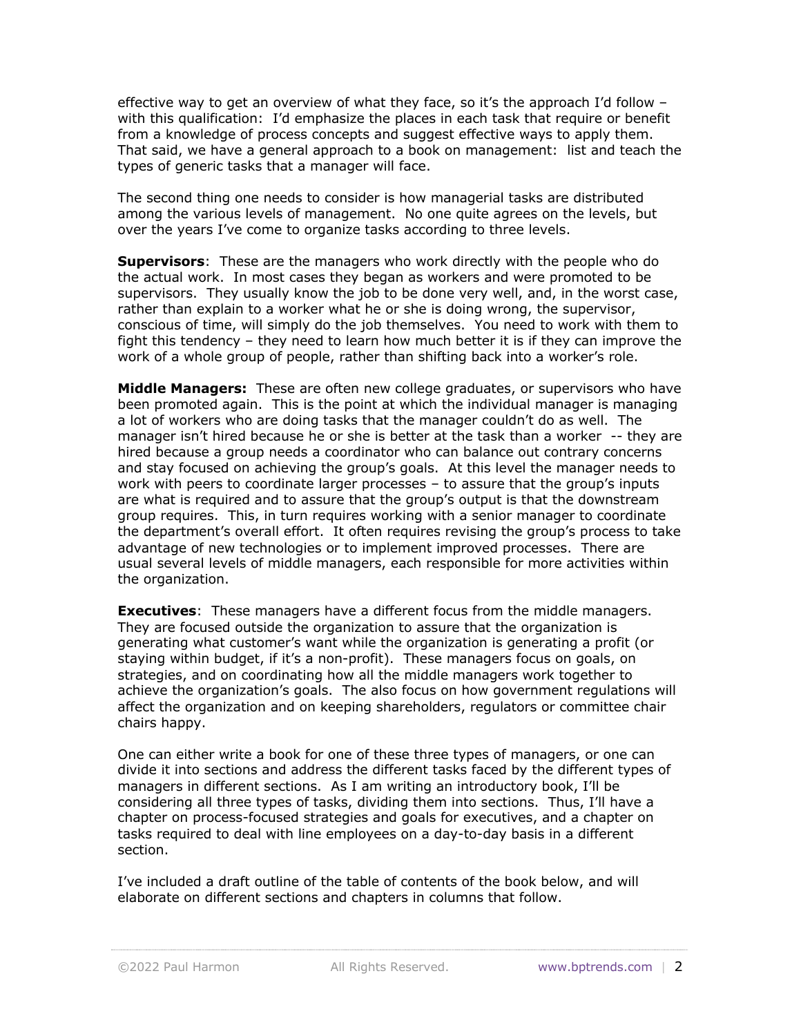effective way to get an overview of what they face, so it's the approach I'd follow – with this qualification: I'd emphasize the places in each task that require or benefit from a knowledge of process concepts and suggest effective ways to apply them. That said, we have a general approach to a book on management: list and teach the types of generic tasks that a manager will face.

The second thing one needs to consider is how managerial tasks are distributed among the various levels of management. No one quite agrees on the levels, but over the years I've come to organize tasks according to three levels.

**Supervisors**: These are the managers who work directly with the people who do the actual work. In most cases they began as workers and were promoted to be supervisors. They usually know the job to be done very well, and, in the worst case, rather than explain to a worker what he or she is doing wrong, the supervisor, conscious of time, will simply do the job themselves. You need to work with them to fight this tendency – they need to learn how much better it is if they can improve the work of a whole group of people, rather than shifting back into a worker's role.

**Middle Managers:** These are often new college graduates, or supervisors who have been promoted again. This is the point at which the individual manager is managing a lot of workers who are doing tasks that the manager couldn't do as well. The manager isn't hired because he or she is better at the task than a worker -- they are hired because a group needs a coordinator who can balance out contrary concerns and stay focused on achieving the group's goals. At this level the manager needs to work with peers to coordinate larger processes – to assure that the group's inputs are what is required and to assure that the group's output is that the downstream group requires. This, in turn requires working with a senior manager to coordinate the department's overall effort. It often requires revising the group's process to take advantage of new technologies or to implement improved processes. There are usual several levels of middle managers, each responsible for more activities within the organization.

**Executives**: These managers have a different focus from the middle managers. They are focused outside the organization to assure that the organization is generating what customer's want while the organization is generating a profit (or staying within budget, if it's a non-profit). These managers focus on goals, on strategies, and on coordinating how all the middle managers work together to achieve the organization's goals. The also focus on how government regulations will affect the organization and on keeping shareholders, regulators or committee chair chairs happy.

One can either write a book for one of these three types of managers, or one can divide it into sections and address the different tasks faced by the different types of managers in different sections. As I am writing an introductory book, I'll be considering all three types of tasks, dividing them into sections. Thus, I'll have a chapter on process-focused strategies and goals for executives, and a chapter on tasks required to deal with line employees on a day-to-day basis in a different section.

I've included a draft outline of the table of contents of the book below, and will elaborate on different sections and chapters in columns that follow.